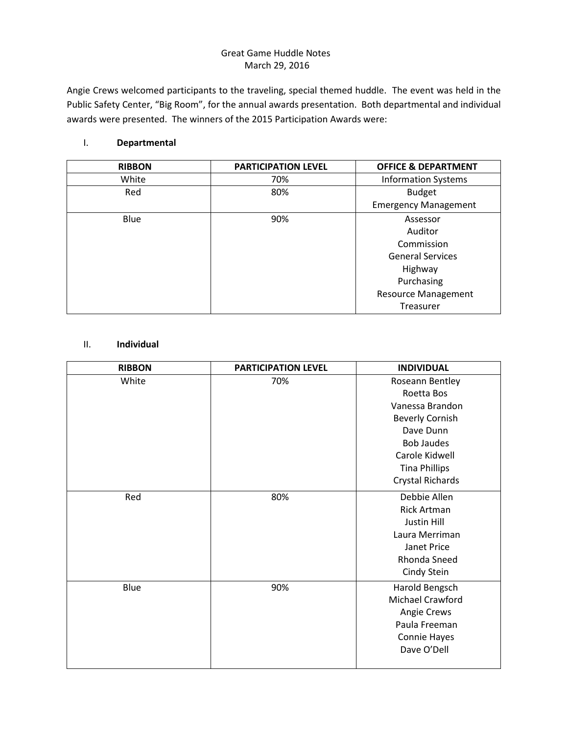## Great Game Huddle Notes March 29, 2016

Angie Crews welcomed participants to the traveling, special themed huddle. The event was held in the Public Safety Center, "Big Room", for the annual awards presentation. Both departmental and individual awards were presented. The winners of the 2015 Participation Awards were:

## I. **Departmental**

| <b>RIBBON</b> | <b>PARTICIPATION LEVEL</b> | <b>OFFICE &amp; DEPARTMENT</b> |
|---------------|----------------------------|--------------------------------|
| White         | 70%                        | <b>Information Systems</b>     |
| Red           | 80%                        | <b>Budget</b>                  |
|               |                            | <b>Emergency Management</b>    |
| Blue          | 90%                        | Assessor                       |
|               |                            | Auditor                        |
|               |                            | Commission                     |
|               |                            | <b>General Services</b>        |
|               |                            | Highway                        |
|               |                            | Purchasing                     |
|               |                            | <b>Resource Management</b>     |
|               |                            | <b>Treasurer</b>               |

## II. **Individual**

| <b>RIBBON</b> | <b>PARTICIPATION LEVEL</b> | <b>INDIVIDUAL</b>      |
|---------------|----------------------------|------------------------|
| White         | 70%                        | Roseann Bentley        |
|               |                            | Roetta Bos             |
|               |                            | Vanessa Brandon        |
|               |                            | <b>Beverly Cornish</b> |
|               |                            | Dave Dunn              |
|               |                            | <b>Bob Jaudes</b>      |
|               |                            | Carole Kidwell         |
|               |                            | <b>Tina Phillips</b>   |
|               |                            | Crystal Richards       |
| Red           | 80%                        | Debbie Allen           |
|               |                            | <b>Rick Artman</b>     |
|               |                            | Justin Hill            |
|               |                            | Laura Merriman         |
|               |                            | Janet Price            |
|               |                            | Rhonda Sneed           |
|               |                            | Cindy Stein            |
| Blue          | 90%                        | Harold Bengsch         |
|               |                            | Michael Crawford       |
|               |                            | Angie Crews            |
|               |                            | Paula Freeman          |
|               |                            | Connie Hayes           |
|               |                            | Dave O'Dell            |
|               |                            |                        |